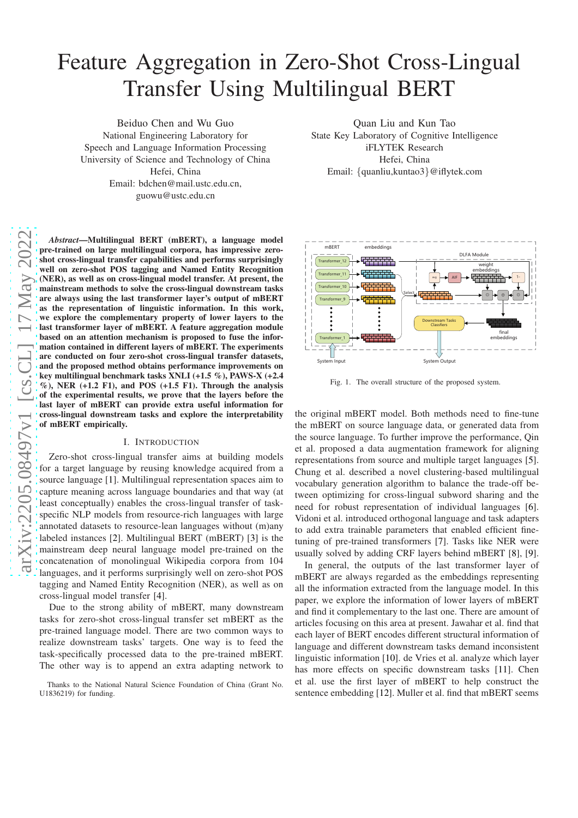# Feature Aggregation in Zero-Shot Cross-Lingual Transfer Using Multilingual BERT

Beiduo Chen and Wu Guo National Engineering Laboratory for Speech and Language Information Processing University of Science and Technology of China Hefei, China Email: bdchen@mail.ustc.edu.cn, guowu@ustc.edu.cn

arXiv:2205.08497v1 [cs.CL] 17 May 2022 [arXiv:2205.08497v1 \[cs.CL\] 17 May 2022](http://arxiv.org/abs/2205.08497v1)

*Abstract*—Multilingual BERT (mBERT), a language model pre-trained on large multilingual corpora, has impressive zeroshot cross-lingual transfer capabilities and performs surprisingly well on zero-shot POS tagging and Named Entity Recognition (NER), as well as on cross-lingual model transfer. At present, the mainstream methods to solve the cross-lingual downstream tasks are always using the last transformer layer's output of mBERT as the representation of linguistic information. In this work, we explore the complementary property of lower layers to the last transformer layer of mBERT. A feature aggregation module based on an attention mechanism is proposed to fuse the information contained in different layers of mBERT. The experiments are conducted on four zero-shot cross-lingual transfer datasets, and the proposed method obtains performance improvements on key multilingual benchmark tasks XNLI (+1.5 %), PAWS-X (+2.4  $\%$ ), NER (+1.2 F1), and POS (+1.5 F1). Through the analysis of the experimental results, we prove that the layers before the last layer of mBERT can provide extra useful information for cross-lingual downstream tasks and explore the interpretability of mBERT empirically.

# I. INTRODUCTION

Zero-shot cross-lingual transfer aims at building models for a target language by reusing knowledge acquired from a source language [1]. Multilingual representation spaces aim to capture meaning across language boundaries and that way (at least conceptually) enables the cross-lingual transfer of taskspecific NLP models from resource-rich languages with large annotated datasets to resource-lean languages without (m)any labeled instances [2]. Multilingual BERT (mBERT) [3] is the mainstream deep neural language model pre-trained on the concatenation of monolingual Wikipedia corpora from 104 languages, and it performs surprisingly well on zero-shot POS tagging and Named Entity Recognition (NER), as well as on cross-lingual model transfer [4].

Due to the strong ability of mBERT, many downstream tasks for zero-shot cross-lingual transfer set mBERT as the pre-trained language model. There are two common ways to realize downstream tasks' targets. One way is to feed the task-specifically processed data to the pre-trained mBERT. The other way is to append an extra adapting network to

Quan Liu and Kun Tao State Key Laboratory of Cognitive Intelligence iFLYTEK Research Hefei, China Email: {quanliu,kuntao3}@iflytek.com



<span id="page-0-0"></span>Fig. 1. The overall structure of the proposed system.

the original mBERT model. Both methods need to fine-tune the mBERT on source language data, or generated data from the source language. To further improve the performance, Qin et al. proposed a data augmentation framework for aligning representations from source and multiple target languages [5]. Chung et al. described a novel clustering-based multilingual vocabulary generation algorithm to balance the trade-off between optimizing for cross-lingual subword sharing and the need for robust representation of individual languages [6]. Vidoni et al. introduced orthogonal language and task adapters to add extra trainable parameters that enabled efficient finetuning of pre-trained transformers [7]. Tasks like NER were usually solved by adding CRF layers behind mBERT [8], [9].

In general, the outputs of the last transformer layer of mBERT are always regarded as the embeddings representing all the information extracted from the language model. In this paper, we explore the information of lower layers of mBERT and find it complementary to the last one. There are amount of articles focusing on this area at present. Jawahar et al. find that each layer of BERT encodes different structural information of language and different downstream tasks demand inconsistent linguistic information [10]. de Vries et al. analyze which layer has more effects on specific downstream tasks [11]. Chen et al. use the first layer of mBERT to help construct the sentence embedding [12]. Muller et al. find that mBERT seems

Thanks to the National Natural Science Foundation of China (Grant No. U1836219) for funding.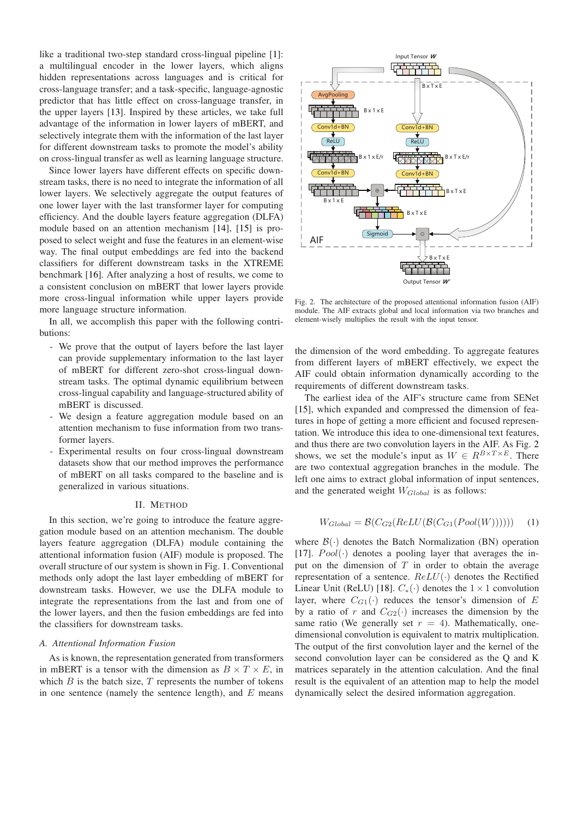like a traditional two-step standard cross-lingual pipeline [1]: a multilingual encoder in the lower layers, which aligns hidden representations across languages and is critical for cross-language transfer; and a task-specific, language-agnostic predictor that has little effect on cross-language transfer, in the upper layers [13]. Inspired by these articles, we take full advantage of the information in lower layers of mBERT, and selectively integrate them with the information of the last layer for different downstream tasks to promote the model's ability on cross-lingual transfer as well as learning language structure.

Since lower layers have different effects on specific downstream tasks, there is no need to integrate the information of all lower layers. We selectively aggregate the output features of one lower layer with the last transformer layer for computing efficiency. And the double layers feature aggregation (DLFA) module based on an attention mechanism [14], [15] is proposed to select weight and fuse the features in an element-wise way. The final output embeddings are fed into the backend classifiers for different downstream tasks in the XTREME benchmark [16]. After analyzing a host of results, we come to a consistent conclusion on mBERT that lower layers provide more cross-lingual information while upper layers provide more language structure information.

In all, we accomplish this paper with the following contributions:

- We prove that the output of layers before the last layer can provide supplementary information to the last layer of mBERT for different zero-shot cross-lingual downstream tasks. The optimal dynamic equilibrium between cross-lingual capability and language-structured ability of mBERT is discussed.
- We design a feature aggregation module based on an attention mechanism to fuse information from two transformer layers.
- Experimental results on four cross-lingual downstream datasets show that our method improves the performance of mBERT on all tasks compared to the baseline and is generalized in various situations.

## II. METHOD

In this section, we're going to introduce the feature aggregation module based on an attention mechanism. The double layers feature aggregation (DLFA) module containing the attentional information fusion (AIF) module is proposed. The overall structure of our system is shown in Fig. [1.](#page-0-0) Conventional methods only adopt the last layer embedding of mBERT for downstream tasks. However, we use the DLFA module to integrate the representations from the last and from one of the lower layers, and then the fusion embeddings are fed into the classifiers for downstream tasks.

## *A. Attentional Information Fusion*

As is known, the representation generated from transformers in mBERT is a tensor with the dimension as  $B \times T \times E$ , in which  $B$  is the batch size,  $T$  represents the number of tokens in one sentence (namely the sentence length), and  $E$  means



<span id="page-1-0"></span>Fig. 2. The architecture of the proposed attentional information fusion (AIF) module. The AIF extracts global and local information via two branches and element-wisely multiplies the result with the input tensor.

the dimension of the word embedding. To aggregate features from different layers of mBERT effectively, we expect the AIF could obtain information dynamically according to the requirements of different downstream tasks.

The earliest idea of the AIF's structure came from SENet [15], which expanded and compressed the dimension of features in hope of getting a more efficient and focused representation. We introduce this idea to one-dimensional text features, and thus there are two convolution layers in the AIF. As Fig. [2](#page-1-0) shows, we set the module's input as  $W \in R^{B \times T \times E}$ . There are two contextual aggregation branches in the module. The left one aims to extract global information of input sentences, and the generated weight  $W_{Global}$  is as follows:

$$
W_{Global} = \mathcal{B}(C_{G2}(ReLU(\mathcal{B}(C_{G1}(Pool(W)))))) \tag{1}
$$

where  $\mathcal{B}(\cdot)$  denotes the Batch Normalization (BN) operation [17].  $Pool(\cdot)$  denotes a pooling layer that averages the input on the dimension of  $T$  in order to obtain the average representation of a sentence.  $ReLU(·)$  denotes the Rectified Linear Unit (ReLU) [18].  $C_*(\cdot)$  denotes the  $1 \times 1$  convolution layer, where  $C_{G1}(\cdot)$  reduces the tensor's dimension of E by a ratio of r and  $C_{G2}(\cdot)$  increases the dimension by the same ratio (We generally set  $r = 4$ ). Mathematically, onedimensional convolution is equivalent to matrix multiplication. The output of the first convolution layer and the kernel of the second convolution layer can be considered as the Q and K matrices separately in the attention calculation. And the final result is the equivalent of an attention map to help the model dynamically select the desired information aggregation.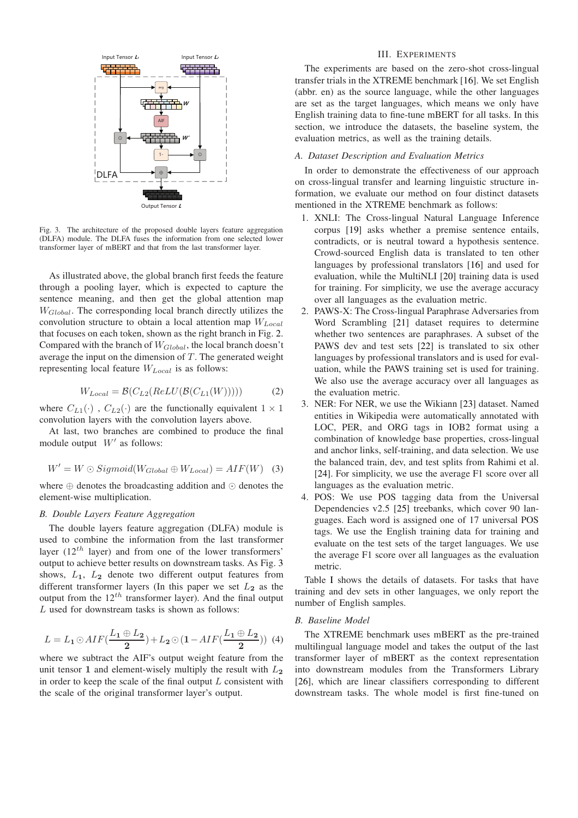

<span id="page-2-0"></span>Fig. 3. The architecture of the proposed double layers feature aggregation (DLFA) module. The DLFA fuses the information from one selected lower transformer layer of mBERT and that from the last transformer layer.

As illustrated above, the global branch first feeds the feature through a pooling layer, which is expected to capture the sentence meaning, and then get the global attention map  $W_{Global}$ . The corresponding local branch directly utilizes the convolution structure to obtain a local attention map  $W_{Local}$ that focuses on each token, shown as the right branch in Fig. [2.](#page-1-0) Compared with the branch of  $W_{Global}$ , the local branch doesn't average the input on the dimension of  $T$ . The generated weight representing local feature  $W_{Local}$  is as follows:

$$
W_{Local} = \mathcal{B}(C_{L2}(ReLU(\mathcal{B}(C_{L1}(W)))) \tag{2})
$$

where  $C_{L1}(\cdot)$ ,  $C_{L2}(\cdot)$  are the functionally equivalent  $1 \times 1$ convolution layers with the convolution layers above.

At last, two branches are combined to produce the final module output  $W'$  as follows:

$$
W' = W \odot Sigmoid(W_{Global} \oplus W_{Local}) = AIF(W) \quad (3)
$$

where ⊕ denotes the broadcasting addition and ⊙ denotes the element-wise multiplication.

## *B. Double Layers Feature Aggregation*

The double layers feature aggregation (DLFA) module is used to combine the information from the last transformer layer  $(12<sup>th</sup>$  layer) and from one of the lower transformers' output to achieve better results on downstream tasks. As Fig. [3](#page-2-0) shows,  $L_1$ ,  $L_2$  denote two different output features from different transformer layers (In this paper we set  $L_2$  as the output from the  $12^{th}$  transformer layer). And the final output L used for downstream tasks is shown as follows:

$$
L = L_1 \odot AIF\left(\frac{L_1 \oplus L_2}{2}\right) + L_2 \odot \left(1 - AIF\left(\frac{L_1 \oplus L_2}{2}\right)\right) \tag{4}
$$

where we subtract the AIF's output weight feature from the unit tensor 1 and element-wisely multiply the result with  $L_2$ in order to keep the scale of the final output  $L$  consistent with the scale of the original transformer layer's output.

## III. EXPERIMENTS

The experiments are based on the zero-shot cross-lingual transfer trials in the XTREME benchmark [16]. We set English (abbr. en) as the source language, while the other languages are set as the target languages, which means we only have English training data to fine-tune mBERT for all tasks. In this section, we introduce the datasets, the baseline system, the evaluation metrics, as well as the training details.

## *A. Dataset Description and Evaluation Metrics*

In order to demonstrate the effectiveness of our approach on cross-lingual transfer and learning linguistic structure information, we evaluate our method on four distinct datasets mentioned in the XTREME benchmark as follows:

- 1. XNLI: The Cross-lingual Natural Language Inference corpus [19] asks whether a premise sentence entails, contradicts, or is neutral toward a hypothesis sentence. Crowd-sourced English data is translated to ten other languages by professional translators [16] and used for evaluation, while the MultiNLI [20] training data is used for training. For simplicity, we use the average accuracy over all languages as the evaluation metric.
- 2. PAWS-X: The Cross-lingual Paraphrase Adversaries from Word Scrambling [21] dataset requires to determine whether two sentences are paraphrases. A subset of the PAWS dev and test sets [22] is translated to six other languages by professional translators and is used for evaluation, while the PAWS training set is used for training. We also use the average accuracy over all languages as the evaluation metric.
- 3. NER: For NER, we use the Wikiann [23] dataset. Named entities in Wikipedia were automatically annotated with LOC, PER, and ORG tags in IOB2 format using a combination of knowledge base properties, cross-lingual and anchor links, self-training, and data selection. We use the balanced train, dev, and test splits from Rahimi et al. [24]. For simplicity, we use the average F1 score over all languages as the evaluation metric.
- 4. POS: We use POS tagging data from the Universal Dependencies v2.5 [25] treebanks, which cover 90 languages. Each word is assigned one of 17 universal POS tags. We use the English training data for training and evaluate on the test sets of the target languages. We use the average F1 score over all languages as the evaluation metric.

Table [I](#page-3-0) shows the details of datasets. For tasks that have training and dev sets in other languages, we only report the number of English samples.

# *B. Baseline Model*

The XTREME benchmark uses mBERT as the pre-trained multilingual language model and takes the output of the last transformer layer of mBERT as the context representation into downstream modules from the Transformers Library [26], which are linear classifiers corresponding to different downstream tasks. The whole model is first fine-tuned on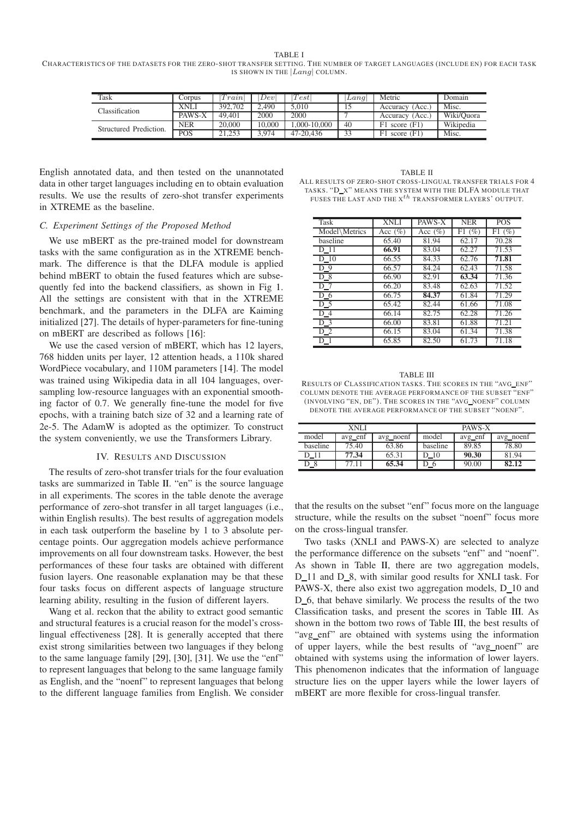TABLE I

<span id="page-3-0"></span>CHARACTERISTICS OF THE DATASETS FOR THE ZERO-SHOT TRANSFER SETTING. THE NUMBER OF TARGET LANGUAGES (INCLUDE EN) FOR EACH TASK IS SHOWN IN THE  $|Lang|$  COLUMN.

| Task                   | Corpus     | $1'$ rain $\mid$ | Dev    | Test        | Lana | Metric             | Domain     |
|------------------------|------------|------------------|--------|-------------|------|--------------------|------------|
| Classification         | XNLI       | 392,702          | 2.490  | 5.010       |      | Accuracy (Acc.)    | Misc.      |
|                        | PAWS-X     | 49.401           | 2000   | 2000        |      | Accuracy (Acc.)    | Wiki/Ouora |
| Structured Prediction. | <b>NER</b> | 20,000           | 10.000 | .000-10.000 | 40   | $F1$ score $(F1)$  | Wikipedia  |
|                        | <b>POS</b> |                  | .974   | 47-20.436   | -33  | score $(F1)$<br>F1 | Misc.      |

English annotated data, and then tested on the unannotated data in other target languages including en to obtain evaluation results. We use the results of zero-shot transfer experiments in XTREME as the baseline.

## *C. Experiment Settings of the Proposed Method*

We use mBERT as the pre-trained model for downstream tasks with the same configuration as in the XTREME benchmark. The difference is that the DLFA module is applied behind mBERT to obtain the fused features which are subsequently fed into the backend classifiers, as shown in Fig [1.](#page-0-0) All the settings are consistent with that in the XTREME benchmark, and the parameters in the DLFA are Kaiming initialized [27]. The details of hyper-parameters for fine-tuning on mBERT are described as follows [16]:

We use the cased version of mBERT, which has 12 layers, 768 hidden units per layer, 12 attention heads, a 110k shared WordPiece vocabulary, and 110M parameters [14]. The model was trained using Wikipedia data in all 104 languages, oversampling low-resource languages with an exponential smoothing factor of 0.7. We generally fine-tune the model for five epochs, with a training batch size of 32 and a learning rate of 2e-5. The AdamW is adopted as the optimizer. To construct the system conveniently, we use the Transformers Library.

#### IV. RESULTS AND DISCUSSION

<span id="page-3-3"></span>The results of zero-shot transfer trials for the four evaluation tasks are summarized in Table [II.](#page-3-1) "en" is the source language in all experiments. The scores in the table denote the average performance of zero-shot transfer in all target languages (i.e., within English results). The best results of aggregation models in each task outperform the baseline by 1 to 3 absolute percentage points. Our aggregation models achieve performance improvements on all four downstream tasks. However, the best performances of these four tasks are obtained with different fusion layers. One reasonable explanation may be that these four tasks focus on different aspects of language structure learning ability, resulting in the fusion of different layers.

Wang et al. reckon that the ability to extract good semantic and structural features is a crucial reason for the model's crosslingual effectiveness [28]. It is generally accepted that there exist strong similarities between two languages if they belong to the same language family [29], [30], [31]. We use the "enf" to represent languages that belong to the same language family as English, and the "noenf" to represent languages that belong to the different language families from English. We consider

<span id="page-3-1"></span>TABLE II ALL RESULTS OF ZERO-SHOT CROSS-LINGUAL TRANSFER TRIALS FOR 4 TASKS. "D X" MEANS THE SYSTEM WITH THE DLFA MODULE THAT FUSES THE LAST AND THE  $X^{th}$  TRANSFORMER LAYERS' OUTPUT.

| <b>Task</b>      | <b>XNLI</b> | PAWS-X      | <b>NER</b> | <b>POS</b> |
|------------------|-------------|-------------|------------|------------|
| Model Metrics    | Acc $(\%)$  | Acc $(\% )$ | (%)<br>F1. | F1(%)      |
| baseline         | 65.40       | 81.94       | 62.17      | 70.28      |
| D 11             | 66.91       | 83.04       | 62.27      | 71.53      |
| $D_1$            | 66.55       | 84.33       | 62.76      | 71.81      |
| $\overline{D}9$  | 66.57       | 84.24       | 62.43      | 71.58      |
| D 8              | 66.90       | 82.91       | 63.34      | 71.36      |
| $D_7$            | 66.20       | 83.48       | 62.63      | 71.52      |
| D <sub>6</sub>   | 66.75       | 84.37       | 61.84      | 71.29      |
| $\overline{D}$ 5 | 65.42       | 82.44       | 61.66      | 71.08      |
| D <sub>4</sub>   | 66.14       | 82.75       | 62.28      | 71.26      |
| D <sub>3</sub>   | 66.00       | 83.81       | 61.88      | 71.21      |
| $D_2$            | 66.15       | 83.04       | 61.34      | 71.38      |
| D 1              | 65.85       | 82.50       | 61.73      | 71.18      |

<span id="page-3-2"></span>TABLE III RESULTS OF CLASSIFICATION TASKS. THE SCORES IN THE "AVG\_ENF" COLUMN DENOTE THE AVERAGE PERFORMANCE OF THE SUBSET "ENF" (INVOLVING "EN, DE"). THE SCORES IN THE "AVG NOENF" COLUMN DENOTE THE AVERAGE PERFORMANCE OF THE SUBSET "NOENF".

|          | XNLI    |           | PAWS-X   |         |           |  |
|----------|---------|-----------|----------|---------|-----------|--|
| model    | avg enf | avg_noenf | model    | avg_enf | avg_noenf |  |
| baseline | 75.40   | 63.86     | baseline | 89.85   | 78.80     |  |
|          | 77.34   | 65.31     | 10       | 90.30   | 81.94     |  |
| D_8      | 77.11   | 65.34     | - 6      | 90.00   | 82.12     |  |

that the results on the subset "enf" focus more on the language structure, while the results on the subset "noenf" focus more on the cross-lingual transfer.

Two tasks (XNLI and PAWS-X) are selected to analyze the performance difference on the subsets "enf" and "noenf". As shown in Table [II,](#page-3-1) there are two aggregation models, D\_11 and D\_8, with similar good results for XNLI task. For PAWS-X, there also exist two aggregation models, D\_10 and D\_6, that behave similarly. We process the results of the two Classification tasks, and present the scores in Table [III.](#page-3-2) As shown in the bottom two rows of Table [III,](#page-3-2) the best results of "avg enf" are obtained with systems using the information of upper layers, while the best results of "avg noenf" are obtained with systems using the information of lower layers. This phenomenon indicates that the information of language structure lies on the upper layers while the lower layers of mBERT are more flexible for cross-lingual transfer.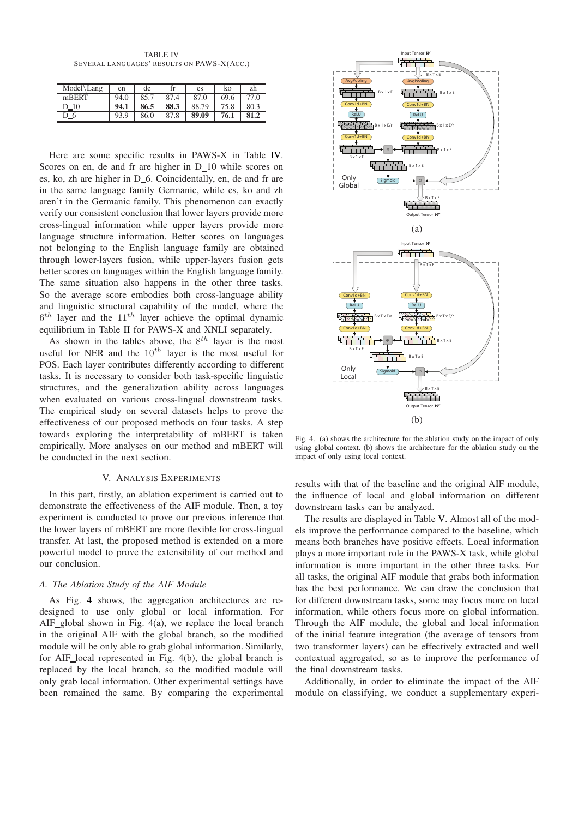TABLE IV SEVERAL LANGUAGES' RESULTS ON PAWS-X(ACC.)

<span id="page-4-0"></span>

| Model\Lang                            | en   | de   | rr.  | es    | ko   | zh   |
|---------------------------------------|------|------|------|-------|------|------|
| mBERT                                 | 94.0 | 85.7 | 87.4 | 87.0  | 69.6 |      |
| 10                                    | 94.1 | 86.5 | 88.3 | 88.79 |      | 80.3 |
| $\overline{\phantom{0}}^{\,\,\sigma}$ | 93.9 | 86.0 | 87.8 | 89.09 | 76.1 | 81.2 |

Here are some specific results in PAWS-X in Table [IV.](#page-4-0) Scores on en, de and fr are higher in D 10 while scores on es, ko, zh are higher in  $D_6$ . Coincidentally, en, de and fr are in the same language family Germanic, while es, ko and zh aren't in the Germanic family. This phenomenon can exactly verify our consistent conclusion that lower layers provide more cross-lingual information while upper layers provide more language structure information. Better scores on languages not belonging to the English language family are obtained through lower-layers fusion, while better scores on languages within the English language family. The same situation also happens in the other three So the average score embodies both cross-language and linguistic structural capability of the model, where the  $6<sup>th</sup>$  layer and the  $11<sup>th</sup>$  layer achieve the optimal dy equilibrium in Table [II](#page-3-1) for PAWS-X and XNLI separat As shown in the tables above, the  $8^{th}$  layer is the layers fusio

useful for NER and the  $10^{th}$  layer is the most use POS. Each layer contributes differently according to di tasks. It is necessary to consider both task-speci<sup>c</sup><sup>2</sup> linguisus structures, and the generalization ability acros languages when evaluated on various cross-lingual downstream tasks. The empirical study on several datasets helps to prove the effectiveness of our proposed methods on four tasks. A step towards exploring the interpretability of mBERT is taken empirically. More analyses on our method and mBERT will be conducted in the next section.  $\cdots$ 

## V. ANALYSIS EXPERIMENTS

In this part, firstly, an ablation experiment is carried out to demonstrate the effectiveness of the AIF module. Then, a toy experiment is conducted to prove our previous inference that the lower layers of mBERT are more flexible for cross-lingual transfer. At last, the proposed method is extended on a more powerful model to prove the extensibility of our method and our conclusion.

## *A. The Ablation Study of the AIF Module*

As Fig. [4](#page-4-1) shows, the aggregation architectures are redesigned to use only global or local information. For AIF global shown in Fig. [4\(](#page-4-1)a), we replace the local branch in the original AIF with the global branch, so the modified module will be only able to grab global information. Similarly, for AIF local represented in Fig. [4\(](#page-4-1)b), the global branch is replaced by the local branch, so the modified module will only grab local information. Other experimental settings have been remained the same. By comparing the experimental



<span id="page-4-1"></span>Fig. 4. (a) shows the architecture for the ablation study on the impact of only using global context. (b) shows the architecture for the ablation study on the impact of only using local context.

results with that of the baseline and the original AIF module, the influence of local and global information on different downstream tasks can be analyzed.

The results are displayed in Table [V.](#page-5-0) Almost all of the models improve the performance compared to the baseline, which means both branches have positive effects. Local information plays a more important role in the PAWS-X task, while global information is more important in the other three tasks. For all tasks, the original AIF module that grabs both information has the best performance. We can draw the conclusion that for different downstream tasks, some may focus more on local information, while others focus more on global information. Through the AIF module, the global and local information of the initial feature integration (the average of tensors from two transformer layers) can be effectively extracted and well contextual aggregated, so as to improve the performance of the final downstream tasks.

Additionally, in order to eliminate the impact of the AIF module on classifying, we conduct a supplementary experi-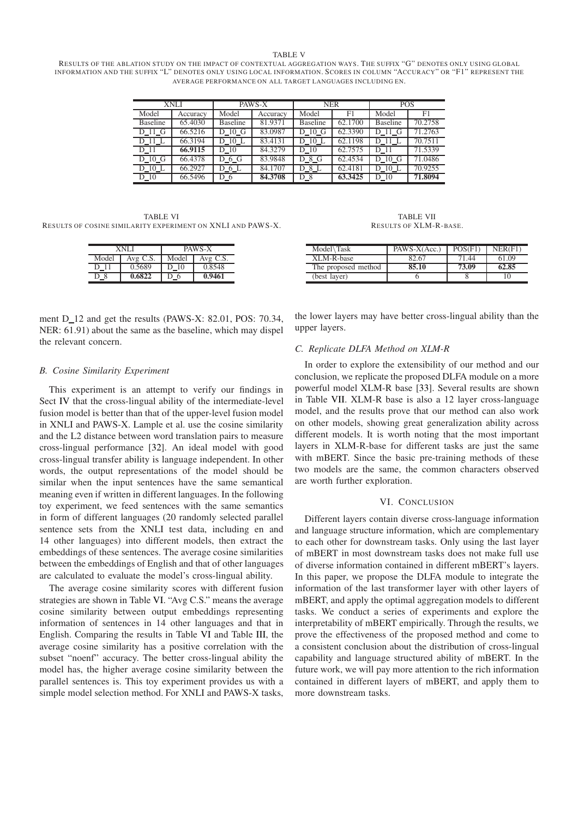#### TABLE V

<span id="page-5-0"></span>RESULTS OF THE ABLATION STUDY ON THE IMPACT OF CONTEXTUAL AGGREGATION WAYS. THE SUFFIX "G" DENOTES ONLY USING GLOBAL INFORMATION AND THE SUFFIX "L" DENOTES ONLY US ING LOCAL INFORMATION. SCORES IN COLUMN "ACCURACY" OR "F1" REPRESENT THE AVERAGE PERFORMANCE ON ALL TARGET LANGUAGES INCLUDING EN.

| <b>XNLI</b>     |          | PAWS-X          |          | <b>NER</b>      |                | <b>POS</b>      |                |
|-----------------|----------|-----------------|----------|-----------------|----------------|-----------------|----------------|
| Model           | Accuracy | Model           | Accuracy | Model           | F <sub>1</sub> | Model           | F <sub>1</sub> |
| <b>Baseline</b> | 65.4030  | <b>Baseline</b> | 81.9371  | <b>Baseline</b> | 62.1700        | <b>Baseline</b> | 70.2758        |
| D 11 G          | 66.5216  | D 10 G          | 83.0987  | D 10 G          | 62.3390        | D 11 G          | 71.2763        |
| $D_11_L$        | 66.3194  | D 10 L          | 83.4131  | D 10 L          | 62.1198        | D 11 L          | 70.7511        |
| D 11            | 66.9115  | D 10            | 84.3279  | D 10            | 62.7575        | D 11            | 71.5339        |
| $D_10_G$        | 66.4378  | D_6_G           | 83.9848  | $D_8_G$         | 62.4534        | D 10 G          | 71.0486        |
| D 10 L          | 66.2927  | $D_6L$          | 84.1707  | $D_8L$          | 62.4181        | D 10 L          | 70.9255        |
| D 10            | 66.5496  | $D_6$           | 84.3708  | $D_8$           | 63.3425        | D 10            | 71.8094        |

<span id="page-5-1"></span>TABLE VI RESULTS OF COSINE SIMILARITY EXPERIMENT ON XNLI AND PAWS-X.

|       | XNI I        | PAWS-X |              |  |
|-------|--------------|--------|--------------|--|
| Model | $Avg$ $C.S.$ | Model  | $Avg$ $C.S.$ |  |
| D 11  | 0.5689       | D 10   | 0.8548       |  |
|       | 0.6822       |        | 0.9461       |  |

TABLE VII RESULTS OF XLM-R-BASE.

<span id="page-5-2"></span>

| Model Task          | $PAWS-X(Acc.)$ | POS(F1) | NER(F1) |
|---------------------|----------------|---------|---------|
| XLM-R-base          | 82.67          | 71.44   | 61.09   |
| The proposed method | 85.10          | 73.09   | 62.85   |
| (best layer)        |                |         |         |

ment D 12 and get the results (PAWS-X: 82.01, POS: 70.34, NER: 61.91) about the same as the baseline, which may dispel the relevant concern.

the lower layers may have better cross-lingual ability than the upper layers.

### *C. Replicate DLFA Method on XLM-R*

## *B. Cosine Similarity Experiment*

This experiment is an attempt to verify our findings in Sect [IV](#page-3-3) that the cross-lingual ability of the intermediate-level fusion model is better than that of the upper-level fusion model in XNLI and PAWS-X. Lample et al. use the cosine similarity and the L2 distance between word translation pairs to measure cross-lingual performance [32]. An ideal model with good cross-lingual transfer ability is language independent. In other words, the output representations of the model should be similar when the input sentences have the same semantical meaning even if written in different languages. In the following toy experiment, we feed sentences with the same semantics in form of different languages (20 randomly selected parallel sentence sets from the XNLI test data, including en and 14 other languages) into different models, then extract the embeddings of these sentences. The average cosine similarities between the embeddings of English and that of other languages are calculated to evaluate the model's cross-lingual ability.

The average cosine similarity scores with different fusion strategies are shown in Table [VI.](#page-5-1) "Avg C.S." means the average cosine similarity between output embeddings representing information of sentences in 14 other languages and that in English. Comparing the results in Table [VI](#page-5-1) and Table [III,](#page-3-2) the average cosine similarity has a positive correlation with the subset "noenf" accuracy. The better cross-lingual ability the model has, the higher average cosine similarity between the parallel sentences is. This toy experiment provides us with a simple model selection method. For XNLI and PAWS-X tasks,

In order to explore the extensibility of our method and our conclusion, we replicate the proposed DLFA module on a more powerful model XLM-R base [33]. Several results are shown in Table [VII.](#page-5-2) XLM-R base is also a 12 layer cross-language model, and the results prove that our method can also work on other models, showing great generalization ability across different models. It is worth noting that the most important layers in XLM-R-base for different tasks are just the same with mBERT. Since the basic pre-training methods of these two models are the same, the common characters observed are worth further exploration.

## VI. CONCLUSION

Different layers contain diverse cross-language information and language structure information, which are complementary to each other for downstream tasks. Only using the last layer of mBERT in most downstream tasks does not make full use of diverse information contained in different mBERT's layers. In this paper, we propose the DLFA module to integrate the information of the last transformer layer with other layers of mBERT, and apply the optimal aggregation models to different tasks. We conduct a series of experiments and explore the interpretability of mBERT empirically. Through the results, we prove the effectiveness of the proposed method and come to a consistent conclusion about the distribution of cross-lingual capability and language structured ability of mBERT. In the future work, we will pay more attention to the rich information contained in different layers of mBERT, and apply them to more downstream tasks.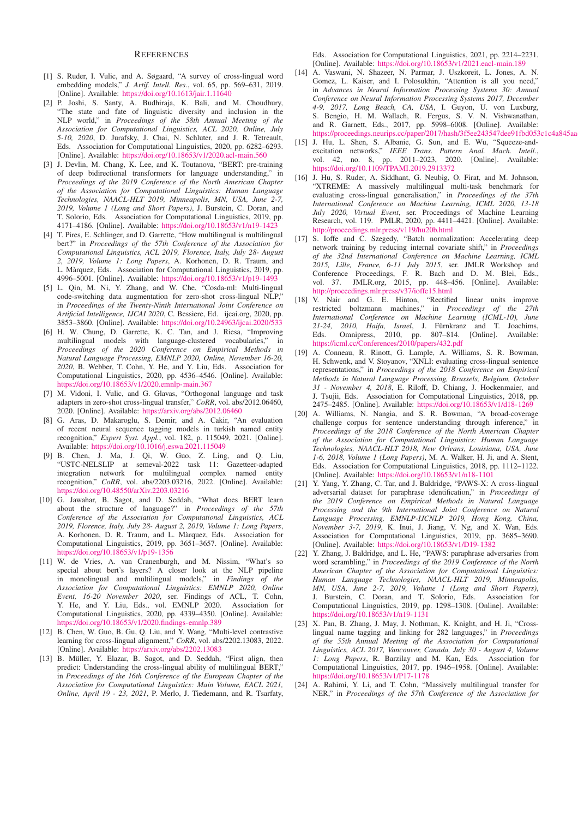#### **REFERENCES**

- [1] S. Ruder, I. Vulic, and A. Søgaard, "A survey of cross-lingual word embedding models," *J. Artif. Intell. Res.*, vol. 65, pp. 569–631, 2019. [Online]. Available: <https://doi.org/10.1613/jair.1.11640>
- [2] P. Joshi, S. Santy, A. Budhiraja, K. Bali, and M. Choudhury, "The state and fate of linguistic diversity and inclusion in the NLP world," in *Proceedings of the 58th Annual Meeting of the Association for Computational Linguistics, ACL 2020, Online, July 5-10, 2020*, D. Jurafsky, J. Chai, N. Schluter, and J. R. Tetreault, Eds. Association for Computational Linguistics, 2020, pp. 6282–6293. [Online]. Available: <https://doi.org/10.18653/v1/2020.acl-main.560>
- [3] J. Devlin, M. Chang, K. Lee, and K. Toutanova, "BERT: pre-training of deep bidirectional transformers for language understanding," in *Proceedings of the 2019 Conference of the North American Chapter of the Association for Computational Linguistics: Human Language Technologies, NAACL-HLT 2019, Minneapolis, MN, USA, June 2-7, 2019, Volume 1 (Long and Short Papers)*, J. Burstein, C. Doran, and T. Solorio, Eds. Association for Computational Linguistics, 2019, pp. 4171–4186. [Online]. Available: <https://doi.org/10.18653/v1/n19-1423>
- [4] T. Pires, E. Schlinger, and D. Garrette, "How multilingual is multilingual bert?" in *Proceedings of the 57th Conference of the Association for Computational Linguistics, ACL 2019, Florence, Italy, July 28- August 2, 2019, Volume 1: Long Papers*, A. Korhonen, D. R. Traum, and L. Màrquez, Eds. Association for Computational Linguistics, 2019, pp. 4996–5001. [Online]. Available: <https://doi.org/10.18653/v1/p19-1493>
- [5] L. Qin, M. Ni, Y. Zhang, and W. Che, "Cosda-ml: Multi-lingual code-switching data augmentation for zero-shot cross-lingual NLP," in *Proceedings of the Twenty-Ninth International Joint Conference on Artificial Intelligence, IJCAI 2020*, C. Bessiere, Ed. ijcai.org, 2020, pp. 3853–3860. [Online]. Available: <https://doi.org/10.24963/ijcai.2020/533>
- [6] H. W. Chung, D. Garrette, K. C. Tan, and J. Riesa, "Improving multilingual models with language-clustered vocabularies," in *Proceedings of the 2020 Conference on Empirical Methods in Natural Language Processing, EMNLP 2020, Online, November 16-20, 2020*, B. Webber, T. Cohn, Y. He, and Y. Liu, Eds. Association for Computational Linguistics, 2020, pp. 4536–4546. [Online]. Available: <https://doi.org/10.18653/v1/2020.emnlp-main.367>
- [7] M. Vidoni, I. Vulic, and G. Glavas, "Orthogonal language and task adapters in zero-shot cross-lingual transfer," *CoRR*, vol. abs/2012.06460, 2020. [Online]. Available: <https://arxiv.org/abs/2012.06460>
- [8] G. Aras, D. Makaroglu, S. Demir, and A. Cakir, "An evaluation of recent neural sequence tagging models in turkish named entity recognition," *Expert Syst. Appl.*, vol. 182, p. 115049, 2021. [Online]. Available: <https://doi.org/10.1016/j.eswa.2021.115049>
- [9] B. Chen, J. Ma, J. Qi, W. Guo, Z. Ling, and Q. Liu, "USTC-NELSLIP at semeval-2022 task 11: Gazetteer-adapted integration network for multilingual complex named entity recognition," *CoRR*, vol. abs/2203.03216, 2022. [Online]. Available: <https://doi.org/10.48550/arXiv.2203.03216>
- [10] G. Jawahar, B. Sagot, and D. Seddah, "What does BERT learn about the structure of language?" in *Proceedings of the 57th Conference of the Association for Computational Linguistics, ACL 2019, Florence, Italy, July 28- August 2, 2019, Volume 1: Long Papers*, A. Korhonen, D. R. Traum, and L. Màrquez, Eds. Association for Computational Linguistics, 2019, pp. 3651–3657. [Online]. Available: <https://doi.org/10.18653/v1/p19-1356>
- [11] W. de Vries, A. van Cranenburgh, and M. Nissim, "What's so special about bert's layers? A closer look at the NLP pipeline in monolingual and multilingual models," in *Findings of the Association for Computational Linguistics: EMNLP 2020, Online Event, 16-20 November 2020*, ser. Findings of ACL, T. Cohn, Y. He, and Y. Liu, Eds., vol. EMNLP 2020. Association for Computational Linguistics, 2020, pp. 4339–4350. [Online]. Available: <https://doi.org/10.18653/v1/2020.findings-emnlp.389>
- [12] B. Chen, W. Guo, B. Gu, Q. Liu, and Y. Wang, "Multi-level contrastive learning for cross-lingual alignment," *CoRR*, vol. abs/2202.13083, 2022. [Online]. Available: <https://arxiv.org/abs/2202.13083>
- [13] B. Müller, Y. Elazar, B. Sagot, and D. Seddah, "First align, then predict: Understanding the cross-lingual ability of multilingual BERT," in *Proceedings of the 16th Conference of the European Chapter of the Association for Computational Linguistics: Main Volume, EACL 2021, Online, April 19 - 23, 2021*, P. Merlo, J. Tiedemann, and R. Tsarfaty,

Eds. Association for Computational Linguistics, 2021, pp. 2214–2231. [Online]. Available: <https://doi.org/10.18653/v1/2021.eacl-main.189>

- [14] A. Vaswani, N. Shazeer, N. Parmar, J. Uszkoreit, L. Jones, A. N. Gomez, L. Kaiser, and I. Polosukhin, "Attention is all you need," in *Advances in Neural Information Processing Systems 30: Annual Conference on Neural Information Processing Systems 2017, December 4-9, 2017, Long Beach, CA, USA*, I. Guyon, U. von Luxburg, S. Bengio, H. M. Wallach, R. Fergus, S. V. N. Vishwanathan, and R. Garnett, Eds., 2017, pp. 5998–6008. [Online]. Available: https://proceedings.neurips.cc/paper/2017/hash/3f5ee243547dee91fbd053c1c4a845aa
- [15] J. Hu, L. Shen, S. Albanie, G. Sun, and E. Wu, "Squeeze-andexcitation networks," *IEEE Trans. Pattern Anal. Mach. Intell.*, vol. 42, no. 8, pp. 2011–2023, 2020. [Online]. Available: <https://doi.org/10.1109/TPAMI.2019.2913372>
- [16] J. Hu, S. Ruder, A. Siddhant, G. Neubig, O. Firat, and M. Johnson, "XTREME: A massively multilingual multi-task benchmark for evaluating cross-lingual generalisation," in *Proceedings of the 37th International Conference on Machine Learning, ICML 2020, 13-18 July 2020, Virtual Event*, ser. Proceedings of Machine Learning Research, vol. 119. PMLR, 2020, pp. 4411–4421. [Online]. Available: <http://proceedings.mlr.press/v119/hu20b.html>
- [17] S. Ioffe and C. Szegedy, "Batch normalization: Accelerating deep network training by reducing internal covariate shift," in *Proceedings of the 32nd International Conference on Machine Learning, ICML 2015, Lille, France, 6-11 July 2015*, ser. JMLR Workshop and Conference Proceedings, F. R. Bach and D. M. Blei, Eds., vol. 37. JMLR.org, 2015, pp. 448–456. [Online]. Available: <http://proceedings.mlr.press/v37/ioffe15.html>
- [18] V. Nair and G. E. Hinton, "Rectified linear units improve restricted boltzmann machines," in *Proceedings of the 27th International Conference on Machine Learning (ICML-10), June* 21-24, 2010, Haifa, Israel, J. Fürnkranz and T. Joachims, Eds. Omnipress, 2010, pp. 807–814. [Online]. Available: <https://icml.cc/Conferences/2010/papers/432.pdf>
- [19] A. Conneau, R. Rinott, G. Lample, A. Williams, S. R. Bowman, H. Schwenk, and V. Stoyanov, "XNLI: evaluating cross-lingual sentence representations," in *Proceedings of the 2018 Conference on Empirical Methods in Natural Language Processing, Brussels, Belgium, October 31 - November 4, 2018*, E. Riloff, D. Chiang, J. Hockenmaier, and J. Tsujii, Eds. Association for Computational Linguistics, 2018, pp. 2475–2485. [Online]. Available: <https://doi.org/10.18653/v1/d18-1269>
- [20] A. Williams, N. Nangia, and S. R. Bowman, "A broad-coverage challenge corpus for sentence understanding through inference," in *Proceedings of the 2018 Conference of the North American Chapter of the Association for Computational Linguistics: Human Language Technologies, NAACL-HLT 2018, New Orleans, Louisiana, USA, June 1-6, 2018, Volume 1 (Long Papers)*, M. A. Walker, H. Ji, and A. Stent, Eds. Association for Computational Linguistics, 2018, pp. 1112–1122. [Online]. Available: <https://doi.org/10.18653/v1/n18-1101>
- [21] Y. Yang, Y. Zhang, C. Tar, and J. Baldridge, "PAWS-X: A cross-lingual adversarial dataset for paraphrase identification," in *Proceedings of the 2019 Conference on Empirical Methods in Natural Language Processing and the 9th International Joint Conference on Natural Language Processing, EMNLP-IJCNLP 2019, Hong Kong, China, November 3-7, 2019*, K. Inui, J. Jiang, V. Ng, and X. Wan, Eds. Association for Computational Linguistics, 2019, pp. 3685–3690. [Online]. Available: <https://doi.org/10.18653/v1/D19-1382>
- [22] Y. Zhang, J. Baldridge, and L. He, "PAWS: paraphrase adversaries from word scrambling," in *Proceedings of the 2019 Conference of the North American Chapter of the Association for Computational Linguistics: Human Language Technologies, NAACL-HLT 2019, Minneapolis, MN, USA, June 2-7, 2019, Volume 1 (Long and Short Papers)*, J. Burstein, C. Doran, and T. Solorio, Eds. Association for Computational Linguistics, 2019, pp. 1298–1308. [Online]. Available: <https://doi.org/10.18653/v1/n19-1131>
- [23] X. Pan, B. Zhang, J. May, J. Nothman, K. Knight, and H. Ji, "Crosslingual name tagging and linking for 282 languages," in *Proceedings of the 55th Annual Meeting of the Association for Computational Linguistics, ACL 2017, Vancouver, Canada, July 30 - August 4, Volume 1: Long Papers*, R. Barzilay and M. Kan, Eds. Association for Computational Linguistics, 2017, pp. 1946–1958. [Online]. Available: <https://doi.org/10.18653/v1/P17-1178>
- [24] A. Rahimi, Y. Li, and T. Cohn, "Massively multilingual transfer for NER," in *Proceedings of the 57th Conference of the Association for*